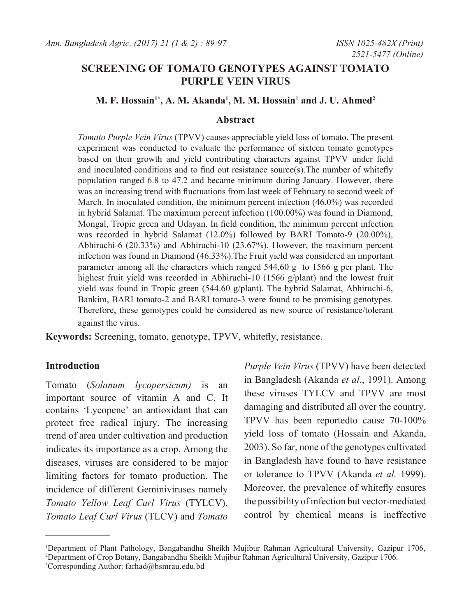# **SCREENING OF TOMATO GENOTYPES AGAINST TOMATO PURPLE VEIN VIRUS**

# **M. F. Hossain<sup>1\*</sup>, A. M. Akanda<sup>1</sup>, M. M. Hossain<sup>1</sup> and J. U. Ahmed<sup>2</sup>**

### **Abstract**

*Tomato Purple Vein Virus* (TPVV) causes appreciable yield loss of tomato. The present experiment was conducted to evaluate the performance of sixteen tomato genotypes based on their growth and yield contributing characters against TPVV under field and inoculated conditions and to find out resistance source(s).The number of whitefly population ranged 6.8 to 47.2 and became minimum during January. However, there was an increasing trend with fluctuations from last week of February to second week of March. In inoculated condition, the minimum percent infection (46.0%) was recorded in hybrid Salamat. The maximum percent infection (100.00%) was found in Diamond, Mongal, Tropic green and Udayan. In field condition, the minimum percent infection was recorded in hybrid Salamat (12.0%) followed by BARI Tomato-9 (20.00%), Abhiruchi-6 (20.33%) and Abhiruchi-10 (23.67%). However, the maximum percent infection was found in Diamond (46.33%).The Fruit yield was considered an important parameter among all the characters which ranged 544.60 g to 1566 g per plant. The highest fruit yield was recorded in Abhiruchi-10 (1566 g/plant) and the lowest fruit yield was found in Tropic green (544.60 g/plant). The hybrid Salamat, Abhiruchi-6, Bankim, BARI tomato-2 and BARI tomato-3 were found to be promising genotypes. Therefore, these genotypes could be considered as new source of resistance/tolerant against the virus.

**Keywords:** Screening, tomato, genotype, TPVV, whitefly, resistance.

# **Introduction**

Tomato (*Solanum lycopersicum)* is an important source of vitamin A and C. It contains 'Lycopene' an antioxidant that can protect free radical injury. The increasing trend of area under cultivation and production indicates its importance as a crop. Among the diseases, viruses are considered to be major limiting factors for tomato production. The incidence of different Geminiviruses namely *Tomato Yellow Leaf Curl Virus* (TYLCV), *Tomato Leaf Curl Virus* (TLCV) and *Tomato* 

*Purple Vein Virus* (TPVV) have been detected in Bangladesh (Akanda *et al*., 1991). Among these viruses TYLCV and TPVV are most damaging and distributed all over the country. TPVV has been reportedto cause 70-100% yield loss of tomato (Hossain and Akanda, 2003). So far, none of the genotypes cultivated in Bangladesh have found to have resistance or tolerance to TPVV (Akanda *et al.* 1999). Moreover, the prevalence of whitefly ensures the possibility of infection but vector-mediated control by chemical means is ineffective

<sup>1</sup> Department of Plant Pathology, Bangabandhu Sheikh Mujibur Rahman Agricultural University, Gazipur 1706, 2 Department of Crop Botany, Bangabandhu Sheikh Mujibur Rahman Agricultural University, Gazipur 1706. \* Corresponding Author: farhad@bsmrau.edu.bd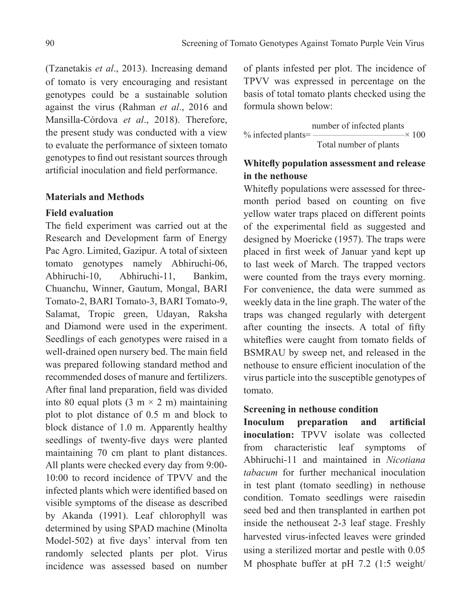(Tzanetakis *et al*., 2013). Increasing demand of tomato is very encouraging and resistant genotypes could be a sustainable solution against the virus (Rahman *et al*., 2016 and Mansilla-Córdova *et al*., 2018). Therefore, the present study was conducted with a view to evaluate the performance of sixteen tomato genotypes to find out resistant sources through artificial inoculation and field performance.

### **Materials and Methods**

#### **Field evaluation**

The field experiment was carried out at the Research and Development farm of Energy Pac Agro. Limited, Gazipur. A total of sixteen tomato genotypes namely Abhiruchi-06, Abhiruchi-10, Abhiruchi-11, Bankim, Chuanchu, Winner, Gautum, Mongal, BARI Tomato-2, BARI Tomato-3, BARI Tomato-9, Salamat, Tropic green, Udayan, Raksha and Diamond were used in the experiment. Seedlings of each genotypes were raised in a well-drained open nursery bed. The main field was prepared following standard method and recommended doses of manure and fertilizers. After final land preparation, field was divided into 80 equal plots  $(3 \text{ m} \times 2 \text{ m})$  maintaining plot to plot distance of 0.5 m and block to block distance of 1.0 m. Apparently healthy seedlings of twenty-five days were planted maintaining 70 cm plant to plant distances. All plants were checked every day from 9:00- 10:00 to record incidence of TPVV and the infected plants which were identified based on visible symptoms of the disease as described by Akanda (1991). Leaf chlorophyll was determined by using SPAD machine (Minolta Model-502) at five days' interval from ten randomly selected plants per plot. Virus incidence was assessed based on number of plants infested per plot. The incidence of TPVV was expressed in percentage on the basis of total tomato plants checked using the formula shown below:

$$
\frac{\text{number of infected plants}}{\text{Total number of plants}} \times 100
$$

# **Whitefly population assessment and release in the nethouse**

Whitefly populations were assessed for threemonth period based on counting on five yellow water traps placed on different points of the experimental field as suggested and designed by Moericke (1957). The traps were placed in first week of Januar yand kept up to last week of March. The trapped vectors were counted from the trays every morning. For convenience, the data were summed as weekly data in the line graph. The water of the traps was changed regularly with detergent after counting the insects. A total of fifty whiteflies were caught from tomato fields of BSMRAU by sweep net, and released in the nethouse to ensure efficient inoculation of the virus particle into the susceptible genotypes of tomato.

# **Screening in nethouse condition**

**Inoculum preparation and artificial inoculation:** TPVV isolate was collected from characteristic leaf symptoms of Abhiruchi-11 and maintained in *Nicotiana tabacum* for further mechanical inoculation in test plant (tomato seedling) in nethouse condition. Tomato seedlings were raisedin seed bed and then transplanted in earthen pot inside the nethouseat 2-3 leaf stage. Freshly harvested virus-infected leaves were grinded using a sterilized mortar and pestle with 0.05 M phosphate buffer at pH 7.2 (1:5 weight/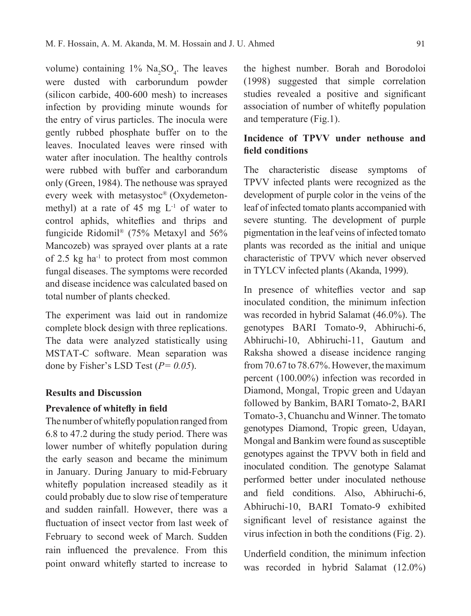volume) containing  $1\%$  Na<sub>2</sub>SO<sub>4</sub>. The leaves were dusted with carborundum powder (silicon carbide, 400-600 mesh) to increases infection by providing minute wounds for the entry of virus particles. The inocula were gently rubbed phosphate buffer on to the leaves. Inoculated leaves were rinsed with water after inoculation. The healthy controls were rubbed with buffer and carborandum only (Green, 1984). The nethouse was sprayed every week with metasystoc® (Oxydemetonmethyl) at a rate of 45 mg  $L^{-1}$  of water to control aphids, whiteflies and thrips and fungicide Ridomil® (75% Metaxyl and 56% Mancozeb) was sprayed over plants at a rate of  $2.5$  kg ha<sup>-1</sup> to protect from most common fungal diseases. The symptoms were recorded and disease incidence was calculated based on total number of plants checked.

The experiment was laid out in randomize complete block design with three replications. The data were analyzed statistically using MSTAT-C software. Mean separation was done by Fisher's LSD Test (*P= 0.05*).

#### **Results and Discussion**

### **Prevalence of whitefly in field**

The number of whitefly population ranged from 6.8 to 47.2 during the study period. There was lower number of whitefly population during the early season and became the minimum in January. During January to mid-February whitefly population increased steadily as it could probably due to slow rise of temperature and sudden rainfall. However, there was a fluctuation of insect vector from last week of February to second week of March. Sudden rain influenced the prevalence. From this point onward whitefly started to increase to

the highest number. Borah and Borodoloi (1998) suggested that simple correlation studies revealed a positive and significant association of number of whitefly population and temperature (Fig.1).

# **Incidence of TPVV under nethouse and field conditions**

The characteristic disease symptoms of TPVV infected plants were recognized as the development of purple color in the veins of the leaf of infected tomato plants accompanied with severe stunting. The development of purple pigmentation in the leaf veins of infected tomato plants was recorded as the initial and unique characteristic of TPVV which never observed in TYLCV infected plants (Akanda, 1999).

In presence of whiteflies vector and sap inoculated condition, the minimum infection was recorded in hybrid Salamat (46.0%). The genotypes BARI Tomato-9, Abhiruchi-6, Abhiruchi-10, Abhiruchi-11, Gautum and Raksha showed a disease incidence ranging from 70.67 to 78.67%. However, the maximum percent (100.00%) infection was recorded in Diamond, Mongal, Tropic green and Udayan followed by Bankim, BARI Tomato-2, BARI Tomato-3, Chuanchu and Winner. The tomato genotypes Diamond, Tropic green, Udayan, Mongal and Bankim were found as susceptible genotypes against the TPVV both in field and inoculated condition. The genotype Salamat performed better under inoculated nethouse and field conditions. Also, Abhiruchi-6, Abhiruchi-10, BARI Tomato-9 exhibited significant level of resistance against the virus infection in both the conditions (Fig. 2).

Underfield condition, the minimum infection was recorded in hybrid Salamat (12.0%)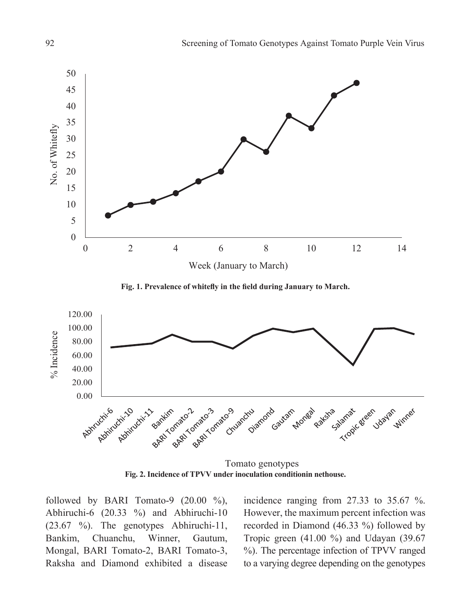

**Fig. 1. Prevalence of whitefly in the field during January to March.**



**Fig. 2. Incidence of TPVV under inoculation conditionin nethouse.** Tomato genotypes

followed by BARI Tomato-9  $(20.00 \degree\%)$ , Abhiruchi-6 (20.33 %) and Abhiruchi-10 (23.67 %). The genotypes Abhiruchi-11, Bankim, Chuanchu, Winner, Gautum, Mongal, BARI Tomato-2, BARI Tomato-3, Raksha and Diamond exhibited a disease

incidence ranging from 27.33 to 35.67 %. However, the maximum percent infection was recorded in Diamond (46.33 %) followed by Tropic green (41.00 %) and Udayan (39.67 %). The percentage infection of TPVV ranged to a varying degree depending on the genotypes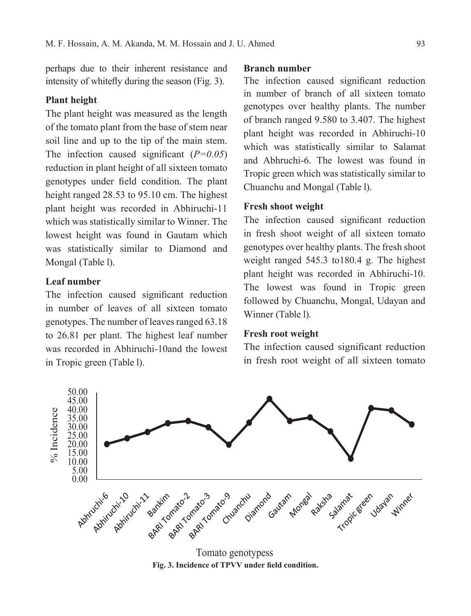perhaps due to their inherent resistance and intensity of whitefly during the season (Fig. 3).

### **Plant height**

The plant height was measured as the length of the tomato plant from the base of stem near soil line and up to the tip of the main stem. The infection caused significant (*P=0.05*) reduction in plant height of all sixteen tomato genotypes under field condition. The plant height ranged 28.53 to 95.10 cm. The highest plant height was recorded in Abhiruchi-11 which was statistically similar to Winner. The lowest height was found in Gautam which was statistically similar to Diamond and Mongal (Table l).

### **Leaf number**

The infection caused significant reduction in number of leaves of all sixteen tomato genotypes. The number of leaves ranged 63.18 to 26.81 per plant. The highest leaf number was recorded in Abhiruchi-10and the lowest in Tropic green (Table l).

#### **Branch number**

The infection caused significant reduction in number of branch of all sixteen tomato genotypes over healthy plants. The number of branch ranged 9.580 to 3.407. The highest plant height was recorded in Abhiruchi-10 which was statistically similar to Salamat and Abhruchi-6. The lowest was found in Tropic green which was statistically similar to Chuanchu and Mongal (Table l).

### **Fresh shoot weight**

The infection caused significant reduction in fresh shoot weight of all sixteen tomato genotypes over healthy plants. The fresh shoot weight ranged 545.3 to180.4 g. The highest plant height was recorded in Abhiruchi-10. The lowest was found in Tropic green followed by Chuanchu, Mongal, Udayan and Winner (Table l).

#### **Fresh root weight**

The infection caused significant reduction in fresh root weight of all sixteen tomato



**Fig. 3. Incidence of TPVV under field condition.** Tomato genotypess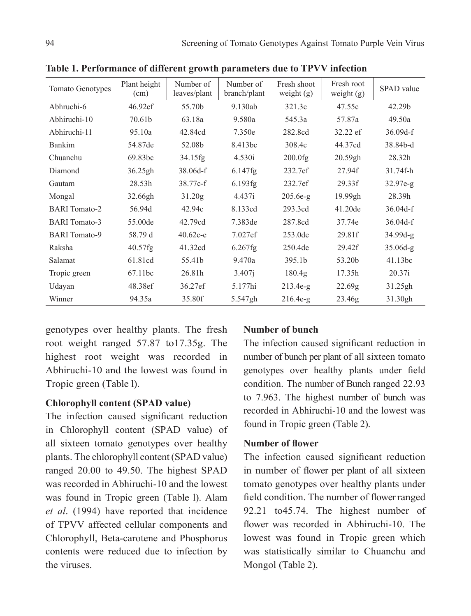| <b>Tomato Genotypes</b> | Plant height<br>(cm) | Number of<br>leaves/plant | Number of<br>branch/plant | Fresh shoot<br>weight $(g)$ | Fresh root<br>weight $(g)$ | SPAD value |
|-------------------------|----------------------|---------------------------|---------------------------|-----------------------------|----------------------------|------------|
| Abhruchi-6              | 46.92ef              | 55.70b                    | 9.130ab                   | 321.3c                      | 47.55c                     | 42.29b     |
| Abhiruchi-10            | 70.61b               | 63.18a                    | 9.580a                    | 545.3a                      | 57.87a                     | 49.50a     |
| Abhiruchi-11            | 95.10a               | 42.84cd                   | 7.350e                    | 282.8cd                     | 32.22 ef                   | $36.09d-f$ |
| Bankim                  | 54.87de              | 52.08b                    | 8.413bc                   | 308.4c                      | 44.37cd                    | 38.84b-d   |
| Chuanchu                | 69.83bc              | $34.15$ fg                | 4.530i                    | $200.0$ fg                  | 20.59gh                    | 28.32h     |
| Diamond                 | 36.25gh              | $38.06d-f$                | $6.147$ fg                | 232.7ef                     | 27.94f                     | 31.74f-h   |
| Gautam                  | 28.53h               | 38.77c-f                  | 6.193fg                   | 232.7ef                     | 29.33f                     | $32.97e-g$ |
| Mongal                  | 32.66gh              | 31.20g                    | 4.437i                    | $205.6e-g$                  | 19.99gh                    | 28.39h     |
| <b>BARI</b> Tomato-2    | 56.94d               | 42.94c                    | 8.133cd                   | 293.3cd                     | 41.20 <sub>de</sub>        | $36.04d-f$ |
| <b>BARI</b> Tomato-3    | 55.00de              | 42.79cd                   | 7.383de                   | 287.8cd                     | 37.74e                     | $36.04d-f$ |
| <b>BARI</b> Tomato-9    | 58.79 d              | $40.62c - e$              | 7.027ef                   | 253.0de                     | 29.81f                     | 34.99d-g   |
| Raksha                  | $40.57$ fg           | 41.32cd                   | $6.267$ fg                | 250.4de                     | 29.42f                     | $35.06d-g$ |
| Salamat                 | 61.81cd              | 55.41b                    | 9.470a                    | 395.1b                      | 53.20b                     | 41.13bc    |
| Tropic green            | 67.11bc              | 26.81h                    | 3.407i                    | 180.4g                      | 17.35h                     | 20.37i     |
| Udayan                  | 48.38ef              | 36.27ef                   | 5.177hi                   | $213.4e-g$                  | 22.69g                     | 31.25gh    |
| Winner                  | 94.35a               | 35.80f                    | 5.547gh                   | $216.4e-g$                  | 23.46g                     | 31.30gh    |

**Table 1. Performance of different growth parameters due to TPVV infection** 

genotypes over healthy plants. The fresh root weight ranged 57.87 to17.35g. The highest root weight was recorded in Abhiruchi-10 and the lowest was found in Tropic green (Table l).

# **Chlorophyll content (SPAD value)**

The infection caused significant reduction in Chlorophyll content (SPAD value) of all sixteen tomato genotypes over healthy plants. The chlorophyll content (SPAD value) ranged 20.00 to 49.50. The highest SPAD was recorded in Abhiruchi-10 and the lowest was found in Tropic green (Table l). Alam *et al*. (1994) have reported that incidence of TPVV affected cellular components and Chlorophyll, Beta-carotene and Phosphorus contents were reduced due to infection by the viruses.

# **Number of bunch**

The infection caused significant reduction in number of bunch per plant of all sixteen tomato genotypes over healthy plants under field condition. The number of Bunch ranged 22.93 to 7.963. The highest number of bunch was recorded in Abhiruchi-10 and the lowest was found in Tropic green (Table 2).

# **Number of flower**

The infection caused significant reduction in number of flower per plant of all sixteen tomato genotypes over healthy plants under field condition. The number of flower ranged 92.21 to45.74. The highest number of flower was recorded in Abhiruchi-10. The lowest was found in Tropic green which was statistically similar to Chuanchu and Mongol (Table 2).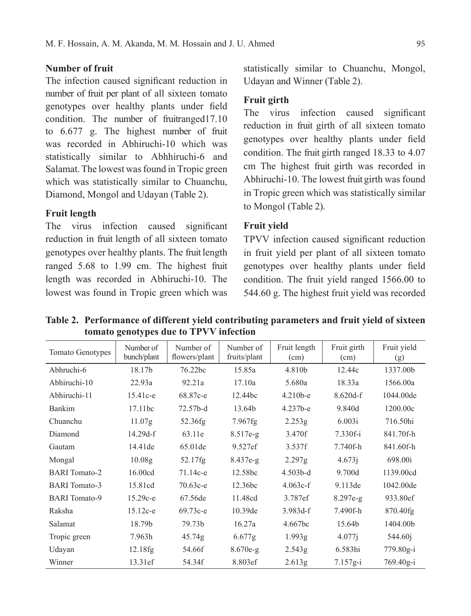## **Number of fruit**

The infection caused significant reduction in number of fruit per plant of all sixteen tomato genotypes over healthy plants under field condition. The number of fruitranged17.10 to 6.677 g. The highest number of fruit was recorded in Abhiruchi-10 which was statistically similar to Abhhiruchi-6 and Salamat. The lowest was found in Tropic green which was statistically similar to Chuanchu, Diamond, Mongol and Udayan (Table 2).

# **Fruit length**

The virus infection caused significant reduction in fruit length of all sixteen tomato genotypes over healthy plants. The fruit length ranged 5.68 to 1.99 cm. The highest fruit length was recorded in Abhiruchi-10. The lowest was found in Tropic green which was statistically similar to Chuanchu, Mongol, Udayan and Winner (Table 2).

## **Fruit girth**

The virus infection caused significant reduction in fruit girth of all sixteen tomato genotypes over healthy plants under field condition. The fruit girth ranged 18.33 to 4.07 cm The highest fruit girth was recorded in Abhiruchi-10. The lowest fruit girth was found in Tropic green which was statistically similar to Mongol (Table 2).

## **Fruit yield**

TPVV infection caused significant reduction in fruit yield per plant of all sixteen tomato genotypes over healthy plants under field condition. The fruit yield ranged 1566.00 to 544.60 g. The highest fruit yield was recorded

**Table 2. Performance of different yield contributing parameters and fruit yield of sixteen tomato genotypes due to TPVV infection** 

| <b>Tomato Genotypes</b> | Number of<br>bunch/plant | Number of<br>flowers/plant | Number of<br>fruits/plant | Fruit length<br>(cm) | Fruit girth<br>(cm) | Fruit yield<br>(g)  |
|-------------------------|--------------------------|----------------------------|---------------------------|----------------------|---------------------|---------------------|
| Abhruchi-6              | 18.17b                   | 76.22bc                    | 15.85a                    | 4.810b               | 12.44c              | 1337.00b            |
| Abhiruchi-10            | 22.93a                   | 92.21a                     | 17.10a                    | 5.680a               | 18.33a              | 1566.00a            |
| Abhiruchi-11            | $15.41c-e$               | 68.87c-e                   | 12.44bc                   | $4.210b-e$           | $8.620d-f$          | 1044.00de           |
| Bankim                  | 17.11bc                  | 72.57b-d                   | 13.64b                    | 4.237b-e             | 9.840d              | 1200.00c            |
| Chuanchu                | 11.07g                   | 52.36fg                    | $7.967$ fg                | 2.253g               | 6.003i              | 716.50hi            |
| Diamond                 | $14.29d-f$               | 63.11e                     | $8.517e-g$                | 3.470f               | $7.330f - i$        | 841.70f-h           |
| Gautam                  | 14.41 de                 | 65.01de                    | 9.527ef                   | 3.537f               | 7.740f-h            | 841.60f-h           |
| Mongal                  | 10.08g                   | $52.17$ fg                 | $8.437e-g$                | 2.297g               | 4.673i              | 698.00i             |
| <b>BARI</b> Tomato-2    | 16.00cd                  | $71.14c - e$               | 12.58bc                   | $4.503b-d$           | 9.700d              | 1139.00cd           |
| <b>BARI</b> Tomato-3    | 15.81cd                  | $70.63c - e$               | 12.36bc                   | $4.063c-f$           | 9.113de             | 1042.00de           |
| <b>BARI</b> Tomato-9    | $15.29c - e$             | 67.56de                    | 11.48cd                   | 3.787ef              | $8.297e-g$          | 933.80ef            |
| Raksha                  | $15.12c-e$               | 69.73c-e                   | 10.39de                   | $3.983d-f$           | 7.490f-h            | 870.40fg            |
| Salamat                 | 18.79b                   | 79.73b                     | 16.27a                    | 4.667bc              | 15.64b              | 1404.00b            |
| Tropic green            | 7.963h                   | 45.74g                     | 6.677g                    | 1.993g               | 4.077i              | 544.60 <sup>j</sup> |
| Udayan                  | 12.18fg                  | 54.66f                     | $8.670e-g$                | 2.543g               | 6.583hi             | 779.80g-i           |
| Winner                  | 13.31ef                  | 54.34f                     | 8.803ef                   | 2.613g               | $7.157g-i$          | $769.40g-i$         |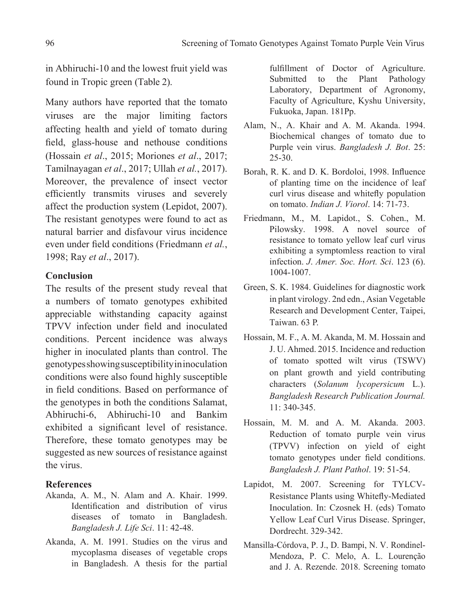in Abhiruchi-10 and the lowest fruit yield was found in Tropic green (Table 2).

Many authors have reported that the tomato viruses are the major limiting factors affecting health and yield of tomato during field, glass-house and nethouse conditions (Hossain *et al*., 2015; Moriones *et al*., 2017; Tamilnayagan *et al*., 2017; Ullah *et al.*, 2017). Moreover, the prevalence of insect vector efficiently transmits viruses and severely affect the production system (Lepidot, 2007). The resistant genotypes were found to act as natural barrier and disfavour virus incidence even under field conditions (Friedmann *et al.*, 1998; Ray *et al*., 2017).

## **Conclusion**

The results of the present study reveal that a numbers of tomato genotypes exhibited appreciable withstanding capacity against TPVV infection under field and inoculated conditions. Percent incidence was always higher in inoculated plants than control. The genotypes showing susceptibility in inoculation conditions were also found highly susceptible in field conditions. Based on performance of the genotypes in both the conditions Salamat, Abhiruchi-6, Abhiruchi-10 and Bankim exhibited a significant level of resistance. Therefore, these tomato genotypes may be suggested as new sources of resistance against the virus.

# **References**

- Akanda, A. M., N. Alam and A. Khair. 1999. Identification and distribution of virus diseases of tomato in Bangladesh. *Bangladesh J. Life Sci*. 11: 42-48.
- Akanda, A. M. 1991. Studies on the virus and mycoplasma diseases of vegetable crops in Bangladesh. A thesis for the partial

fulfillment of Doctor of Agriculture. Submitted to the Plant Pathology Laboratory, Department of Agronomy, Faculty of Agriculture, Kyshu University, Fukuoka, Japan. 181pp.

- Alam, N., A. Khair and A. M. Akanda. 1994. Biochemical changes of tomato due to Purple vein virus. *Bangladesh J. Bot*. 25: 25-30.
- Borah, R. K. and D. K. Bordoloi, 1998. Influence of planting time on the incidence of leaf curl virus disease and whitefly population on tomato. *Indian J. Viorol*. 14: 71-73.
- Friedmann, M., M. Lapidot., S. Cohen., M. Pilowsky. 1998. A novel source of resistance to tomato yellow leaf curl virus exhibiting a symptomless reaction to viral infection. *J*. *Amer. Soc. Hort. Sci*. 123 (6). 1004-1007.
- Green, S. K. 1984. Guidelines for diagnostic work in plant virology. 2nd edn., Asian Vegetable Research and Development Center, Taipei, Taiwan. 63 P.
- Hossain, M. F., A. M. Akanda, M. M. Hossain and J. U. Ahmed. 2015. Incidence and reduction of tomato spotted wilt virus (TSWV) on plant growth and yield contributing characters (*Solanum lycopersicum* L.). *Bangladesh Research Publication Journal.* 11: 340-345.
- Hossain, M. M. and A. M. Akanda. 2003. Reduction of tomato purple vein virus (TPVV) infection on yield of eight tomato genotypes under field conditions. *Bangladesh J. Plant Pathol*. 19: 51-54.
- Lapidot, M. 2007. Screening for TYLCV-Resistance Plants using Whitefly-Mediated Inoculation. In: Czosnek H. (eds) Tomato Yellow Leaf Curl Virus Disease. Springer, Dordrecht. 329-342.
- Mansilla-Córdova, P. J., D. Bampi, N. V. Rondinel-Mendoza, P. C. Melo, A. L. Lourenção and J. A. Rezende. 2018. Screening tomato